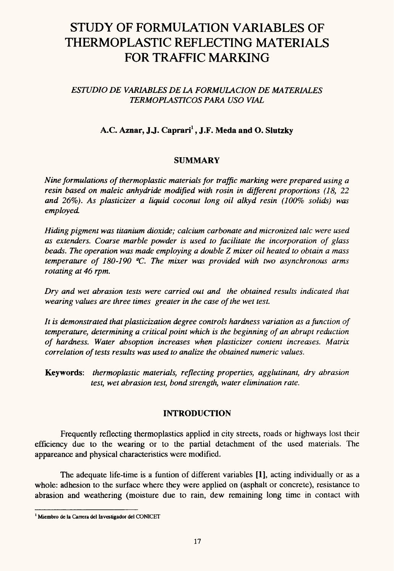# STUDY OF FORMULATION VARIABLES OF THERMOPLASTIC REFLECTING MATERIALS FOR TRAFFIC MARKING

## *ESTUDIO DE VARIABLES DE LA FORMULACION DE MATERIALES TERMOPLASTICOS PARA USO VIAL*

# **A. C Aznar, JJ. Caprari[1](#page-0-0), J.F. Meda and O. Slutzky**

## **SUMMARY**

*Nine formulations ofthermoplastic materialsfor traffic marking were prepared using a resin based on maleic anhydride modified with rosin in different proportions (18, 22 and 26%). As plasticizer a liquid coconut long oil alkyd resin (100% solids) was employed*

*Hiding pigment was titanium dioxide; calcium carbonate and micronized tale were used as extenders. Coarse marble powder is used to facilítate the incorporation of glass beads. The operation was made employing a double* Z *mixer oil heated to obtain a mass temperature* of 180-190 °C. The mixer was provided with two asynchronous arms *rotating at 46 rpm.*

*Dry and wet abrasión tests were carried out and the obtained results indicated that wearing valúes are three times greater in the case ofthe wet test.*

*It is demonstrated thatplasticization degree controls hardness variation as a function of temperature, determining a criticalpoint which is the beginning of an abrupt reduction of hardness. Water absoption increases when plasticizer content increases. Matrix correlation oftests results was used to analize the obtained numeric valúes.*

**Keywords:** *thermoplastic materials, reflecting properties, agglutinant, dry abrasión test, wet abrasión test, bond strength, water elimination rate.*

## **INTRODUCTION**

Frequently reflecting thermoplastics applied in city streets, roads or highways lost their efficiency due to the wearing or to the partial detachment of the used materials. The appareance and physical characteristics were modified.

The adequate life-time is a funtion of different variables [1], acting individually or as a whole: adhesion to the surface where they were applied on (asphalt or concrete), resistance to abrasión and weathering (moisture due to rain, dew remaining long time in contact with

<span id="page-0-0"></span>**<sup>1</sup> Miembro de la Carrera del Investigador del CONICET**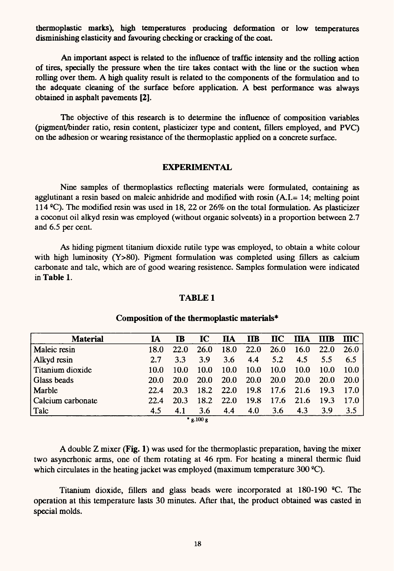thermoplastic marks), high temperatures producing deformation or low temperatures disminishing elasticity and favouring checking or cracking of the coat.

An important aspect is related to the influence of traffic intensity and the rolling action of tires, specially the pressure when the tire takes contact with the line or the suction when rolling over them. A high quality result is related to the components of the formulation and to the adequate cleaning of the surface before application. A best performance was always obtained in asphalt pavements [2].

The objective of this research is to determine the influence of composition variables (pigment/binder ratio, resin content, plasticizer type and content, fillers employed, and PVC) on the adhesión or wearing resistance of the thermoplastic applied on a concrete surface.

#### **EXPERIMENTAL**

Nine samples of thermoplastics reflecting materials were formulated, containing as agglutinant a resin based on maleic anhidride and modified with rosin (A.I.= 14; melting point 114 °C). The modified resin was used in 18, 22 or 26% on the total formulation. As plasticizer a coconut oil alkyd resin was employed (without organic solvents) in a proportion between 2.7 and 6.5 per cent.

As hiding pigment titanium dioxide rutile type was employed, to obtain a white colour with high luminosity  $(Y>80)$ . Pigment formulation was completed using fillers as calcium carbonate and tale, which are of good wearing resistence. Samples formulation were indicated in **Table 1.**

#### **TABLE1**

| <b>Material</b>   | IA          | IB          | IC          | <b>IIA</b>  | $\mathbf{I}$ |             | $\mathbf{I} \mathbf{C}$ $\mathbf{I} \mathbf{I} \mathbf{A}$ | <b>IIIB</b> | <b>IIIC</b> |  |
|-------------------|-------------|-------------|-------------|-------------|--------------|-------------|------------------------------------------------------------|-------------|-------------|--|
| Maleic resin      | 18.0        | <b>22.0</b> | <b>26.0</b> | 18.0        | 22.0         | <b>26.0</b> | <b>16.0</b>                                                | 22.0        | 26.0        |  |
| Alkyd resin       | 2.7         | 3.3         | 3.9         | 3.6         | 4.4          | 5.2         | 4.5                                                        | 5.5         | 6.5         |  |
| Titanium dioxide  | 10.0        | 10.0        | 10.0        | 10.0        | 10.0         | 10.0        | 10.0                                                       | 10.0        | 10.0        |  |
| Glass beads       | <b>20.0</b> | <b>20.0</b> | <b>20.0</b> | <b>20.0</b> | <b>20.0</b>  | <b>20.0</b> | <b>20.0</b>                                                | <b>20.0</b> | <b>20.0</b> |  |
| Marble            | 22.4        | 20.3        | 18.2        | 22.0        | 19.8         | 17.6        | 21.6                                                       | 19.3        | 17.0        |  |
| Calcium carbonate | 22.4        | 20.3        | 18.2        | <b>22.0</b> | 19.8         | 17.6        | 21.6                                                       | 19.3        | 17.0        |  |
| $ $ Talc          | 4.5         | 4.1         | 3.6         | 4.4         | 4.0          | 3.6         | 4.3                                                        | 3.9         | 3.5         |  |
| $*$ g.100 g       |             |             |             |             |              |             |                                                            |             |             |  |

#### **Composition ofthe thermoplastic materials\***

**A** double Z mixer **(Fig. 1)** was used for the thermoplastic preparation, having the mixer two asyncrhonic arms, one of them rotating at 46 rpm. For heating a mineral thermic fluid which circulates in the heating jacket was employed (maximum temperature  $300 \degree C$ ).

Titanium dioxide, fillers and glass beads were incorporated at 180-190 °C. The operation at this temperature lasts 30 minutes. After that, the product obtained was casted in special molds.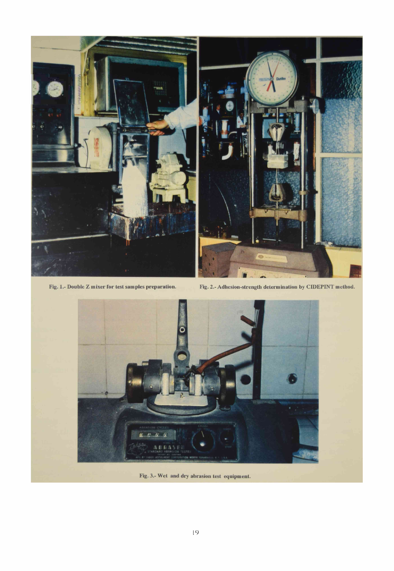

Fig. 1.- Double Z mixer for test samples preparation. Fig. 2.- Adhesion-strength determination by CIDEPINT method.



**Fig. 3.- Wet and dry abrasión test equipment.**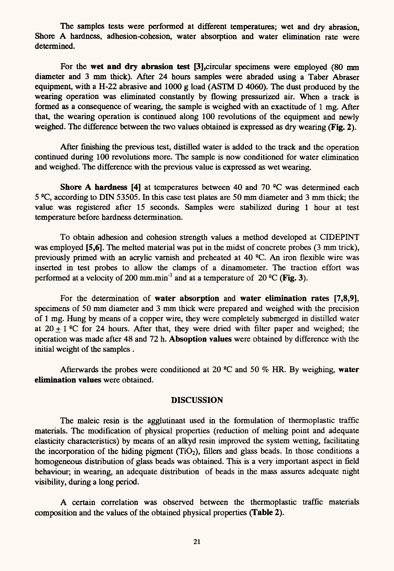The samples tests were performed at different temperatures; wet and dry abrasión, Shore A hardness, adhesion-cohesion, water absorption and water elimination rate were determined.

For the **wet and dry abrasión test [3],**circular specimens were employed (80 mm diameter and 3 mm thick). After 24 hours samples were abraded using a Taber Abraser equipment, with a H-22 abrasive and 1000 g load (ASTM D 4060). The dust produced by the wearing operation was eliminated constantly by flowing pressurized air. When a track is formed as a consequence of wearing, the sample is weighed with an exactitude of <sup>1</sup> mg. After that, the wearing operation is continued along 100 revolutions of the equipment and newly weighed. The difference between the two values obtained is expressed as dry wearing **(Fig. 2).** 

After finishing the previous test, distilled water is added to the track and the operation continued during 100 revolutions more. The sample is now conditioned for water elimination and weighed. The difference with the previous value is expressed as wet wearing.

**Shore A hardness** [4] at temperatures between 40 and 70 <sup>o</sup>C was determined each 5 °C, according to DIN 53505. In this case test plates are 50 mm diameter and 3 mm thick; the valué was registered after 15 seconds. Samples were stabilized during <sup>1</sup> hour at test temperature before hardness determination.

To obtain adhesión and cohesión strength valúes a method developed at CIDEPINT was employed **[5,6]**. The melted material was put in the midst of concrete probes (3 mm trick), previously primed with an acrylic vamish and preheated at 40 <sup>2</sup>C. An iron flexible wire was inserted in test probes to allow the clamps of a dinamometer. The traction effort was performed at a velocity of 200 mm.min<sup>-1</sup> and at a temperature of 20  $^{\circ}$ C (Fig. 3).

For the determination of **water absorption** and **water elimination rates [7,8,9],** specimens of 50 mm diameter and 3 mm thick were prepared and weighed with the precision of <sup>1</sup> mg. Hung by means of a copper wire, they were completely submerged in distilled water at  $20 + 1$  <sup>o</sup>C for 24 hours. After that, they were dried with filter paper and weighed; the operation was made after 48 and 72 h. **Absoption valúes** were obtained by difference with the initial weight of the samples .

Afterwards the probes were conditioned at 20 °C and 50 % HR. By weighing, water **elimination values** were obtained.

#### **DISCUSSION**

The maleic resin is the agglutinant used in the formulation of thermoplastic traffic materials.The modification of physical properties (reduction of melting point and adequate elasticity characteristics) by means of an alkyd resin improved the system wetting, facilitating the incorporation of the hiding pigment  $(TiO<sub>2</sub>)$ , fillers and glass beads. In those conditions a homogeneous distribution of glass beads was obtained. This is a very important aspect in field behaviour; in wearing, an adequate distribution of beads in the mass assures adequate night visibility, during a long period.

A certain correlation was observed between the thermoplastic traffic materials composition and the valúes of the obtained physical properties **(Table 2).**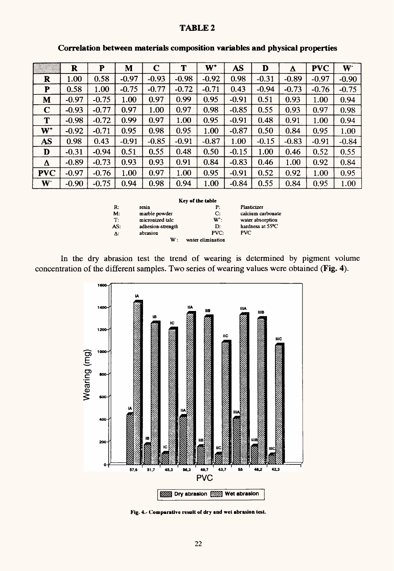### **TABLE 2**

|                | R       | P       | M       | $\mathbf C$ | T       | $W^+$   | <b>AS</b> | D       | Δ       | <b>PVC</b> | W <sup>-</sup> |
|----------------|---------|---------|---------|-------------|---------|---------|-----------|---------|---------|------------|----------------|
| $\mathbf R$    | 1.00    | 0.58    | $-0.97$ | $-0.93$     | $-0.98$ | $-0.92$ | 0.98      | $-0.31$ | $-0.89$ | $-0.97$    | $-0.90$        |
| ${\bf P}$      | 0.58    | 1.00    | $-0.75$ | $-0.77$     | $-0.72$ | $-0.71$ | 0.43      | $-0.94$ | $-0.73$ | $-0.76$    | $-0.75$        |
| M              | $-0.97$ | $-0.75$ | 1.00    | 0.97        | 0.99    | 0.95    | $-0.91$   | 0.51    | 0.93    | 1.00       | 0.94           |
| $\mathbf C$    | $-0.93$ | $-0.77$ | 0.97    | 1.00        | 0.97    | 0.98    | $-0.85$   | 0.55    | 0.93    | 0.97       | 0.98           |
| T              | $-0.98$ | $-0.72$ | 0.99    | 0.97        | 1.00    | 0.95    | $-0.91$   | 0.48    | 0.91    | 1.00       | 0.94           |
| $W^+$          | $-0.92$ | $-0.71$ | 0.95    | 0.98        | 0.95    | 1.00    | $-0.87$   | 0.50    | 0.84    | 0.95       | 1.00           |
| <b>AS</b>      | 0.98    | 0.43    | $-0.91$ | $-0.85$     | $-0.91$ | $-0.87$ | 1.00      | $-0.15$ | $-0.83$ | $-0.91$    | $-0.84$        |
| D              | $-0.31$ | $-0.94$ | 0.51    | 0.55        | 0.48    | 0.50    | $-0.15$   | 1.00    | 0.46    | 0.52       | 0.55           |
| Δ              | $-0.89$ | $-0.73$ | 0.93    | 0.93        | 0.91    | 0.84    | $-0.83$   | 0.46    | 1.00    | 0.92       | 0.84           |
| <b>PVC</b>     | $-0.97$ | $-0.76$ | 1.00    | 0.97        | 1.00    | 0.95    | $-0.91$   | 0.52    | 0.92    | 1.00       | 0.95           |
| W <sup>-</sup> | $-0.90$ | $-0.75$ | 0.94    | 0.98        | 0.94    | 1.00    | $-0.84$   | 0.55    | 0.84    | 0.95       | 1.00           |

#### **Correlation between materials composition variables and physical properties**

**Key of the table**

R: **resin**<br> **P: Plasticizer**<br> **M:** marble powder<br> **C:** calcium ca **Marble powder C: calcium carbonate**<br> **M**<sup>t</sup>: **water absorption** T: **micronized tale W<sup>+</sup>: water absorption**<br> **AS:** adhesion-strength **D:** hardness at 55<sup>o</sup>C **Assume Assume Assume Assume Assume Assume Assume Assume Assume Assume Assume Assume Assume Assume Assume Assume Assume Assume Assume Assume Assume Assume Assume Assume Assume Assume Assume Assume Assume Assume Assume Assu**  $\Delta$ : **abrasion W**: **water elimination** 

concentration of the different samples. Two series of wearing values were obtained (Fig. 4). In the dry abrasión test the trend of wearing is determined by pigment volume



**Fig. 4.- Comparative result of dry and wet abrasión test.**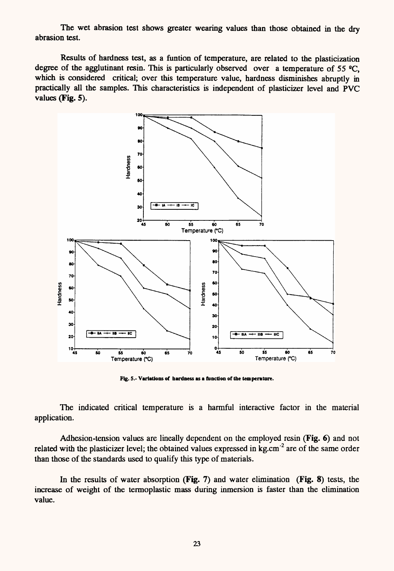The wet abrasion test shows greater wearing values than those obtained in the dry abrasión test.

Results of hardness test, as a funtion of temperature, are related to the plasticization degree of the agglutinant resin. This is particularly observed over a temperature of 55  $^{\circ}$ C, which is considered critical; over this temperature value, hardness disminishes abruptly in practically all the samples. This characteristics is independent of plasticizer level and PVC valúes **(Fig. 5).**



**Fig. 5.- Variations of hardness as a function ofthe temperature.**

The indicated critical temperature is a harmful interactive factor in the material application.

Adhesion-tension values are lineally dependent on the employed resin (Fig. 6) and not related with the plasticizer level; the obtained values expressed in kg.cm<sup>-2</sup> are of the same order than those of the standards used to qualify this type of materials.

In the results of water absorption **(Fig. 7)** and water elimination **(Fig. 8)** tests, the increase of weight of the termoplastic mass during inmersión is faster than the elimination valué.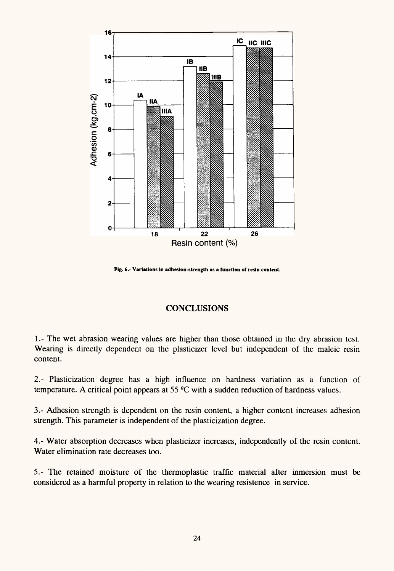

**Fig. 6.- Variations in adhesion-strength as a function of resin contenL**

# **CONCLUSIONS**

1.- The wet abrasion wearing values are higher than those obtained in the dry abrasion test. Wearing is directly dependent on the plasticizer level but independent of the maleic resin content.

2. - Plasticization degree has a high influence on hardness variation as a function of temperature. A critical point appears at 55  $^{\circ}$ C with a sudden reduction of hardness values.

3.- Adhesión strength is dependent on the resin content, a higher content increases adhesión strength. This parameter is independent of the plasticization degree.

4.- Water absorption decreases when plasticizer increases, independently of the resin content. Water elimination rate decreases too.

5.- The retained moisture of the thermoplastic traffic material after inmersión must be considered as a harmful property in relation to the wearing resistence in service.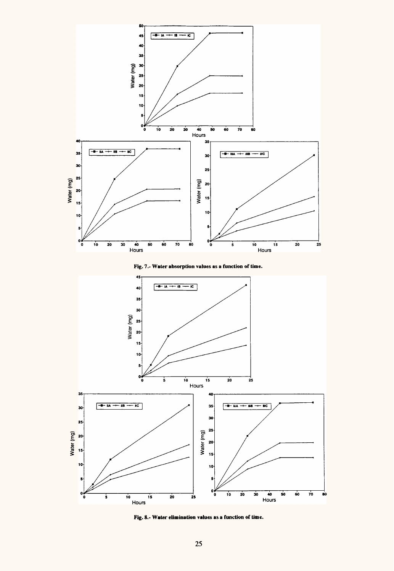

**Fig. 7.- Water absorption valúes as a function of time.**



**Fig. 8.- Water elimination valúes as a function of time.**